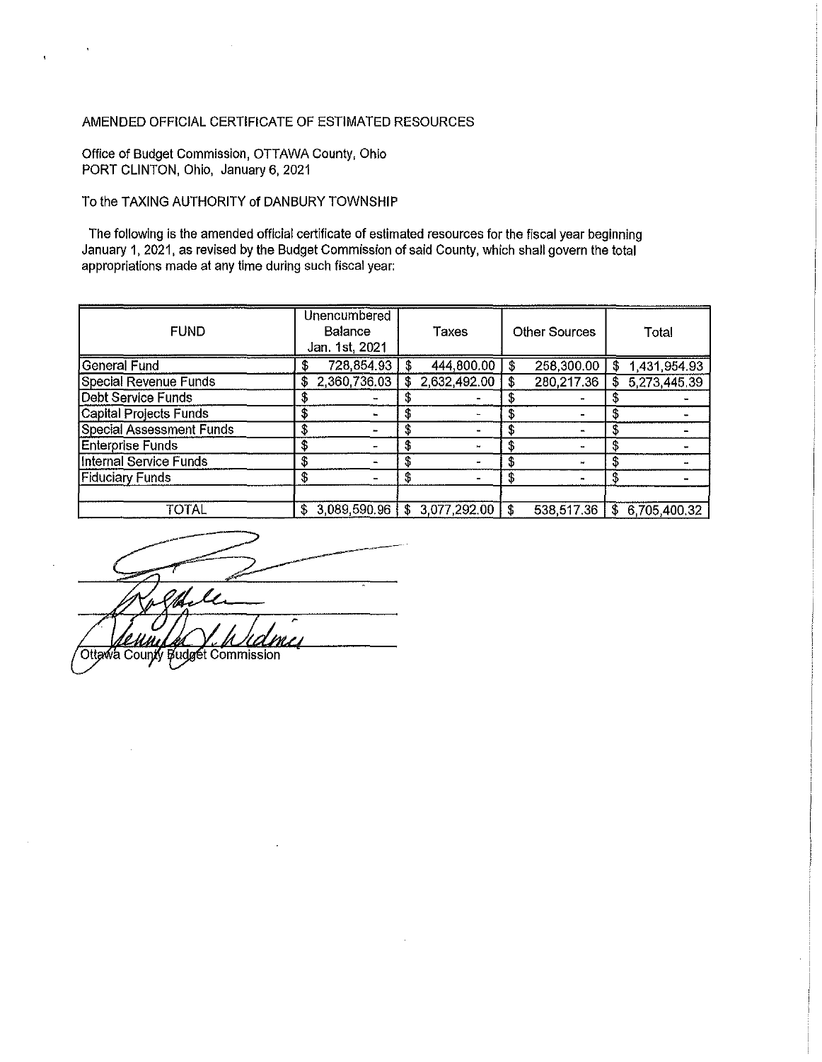## AMENDED OFFICIAL CERTIFICATE OF ESTIMATED RESOURCES

Office of Budget Commission, OTTAWA County, Ohio PORT CLINTON, Ohio, January 6, 2021

 $\bar{\mathbf{z}}$ 

## To the TAXING AUTHORITY of DANBURY TOWNSHIP

The following is the amended official certificate of estimated resources for the fiscal year beginning January 1, 2021, as revised by the Budget Commission of said County, which shall govern the total appropriations made at any time during such fiscal year:

| <b>FUND</b>                     |    | <b>Unencumbered</b><br>Balance<br>Jan. 1st, 2021 |     | Taxes          |    | <b>Other Sources</b> |    | Total        |
|---------------------------------|----|--------------------------------------------------|-----|----------------|----|----------------------|----|--------------|
| <b>General Fund</b>             |    | 728,854.93                                       |     | 444,800.00     | S  | 258,300.00           | S  | 1,431,954.93 |
| Special Revenue Funds           |    | 2,360,736.03                                     | \$. | 2,632,492.00   |    | 280,217.36           | \$ | 5,273,445.39 |
| <b>Debt Service Funds</b>       | \$ |                                                  |     |                |    |                      |    |              |
| Capital Projects Funds          | \$ |                                                  |     |                |    |                      |    |              |
| <b>Special Assessment Funds</b> | \$ |                                                  |     |                |    |                      |    |              |
| Enterprise Funds                | \$ |                                                  | S   |                |    |                      |    |              |
| <b>Internal Service Funds</b>   | S  |                                                  |     |                |    |                      |    |              |
| Fiduciary Funds                 | \$ |                                                  | S   |                | \$ |                      | \$ |              |
|                                 |    |                                                  |     |                |    |                      |    |              |
| TOTAL                           | \$ | 3,089,590.96                                     |     | \$3,077,292.00 |    | 538,517.36           | S  | 6,705,400.32 |

 $-$ Ottawa County Budget Commission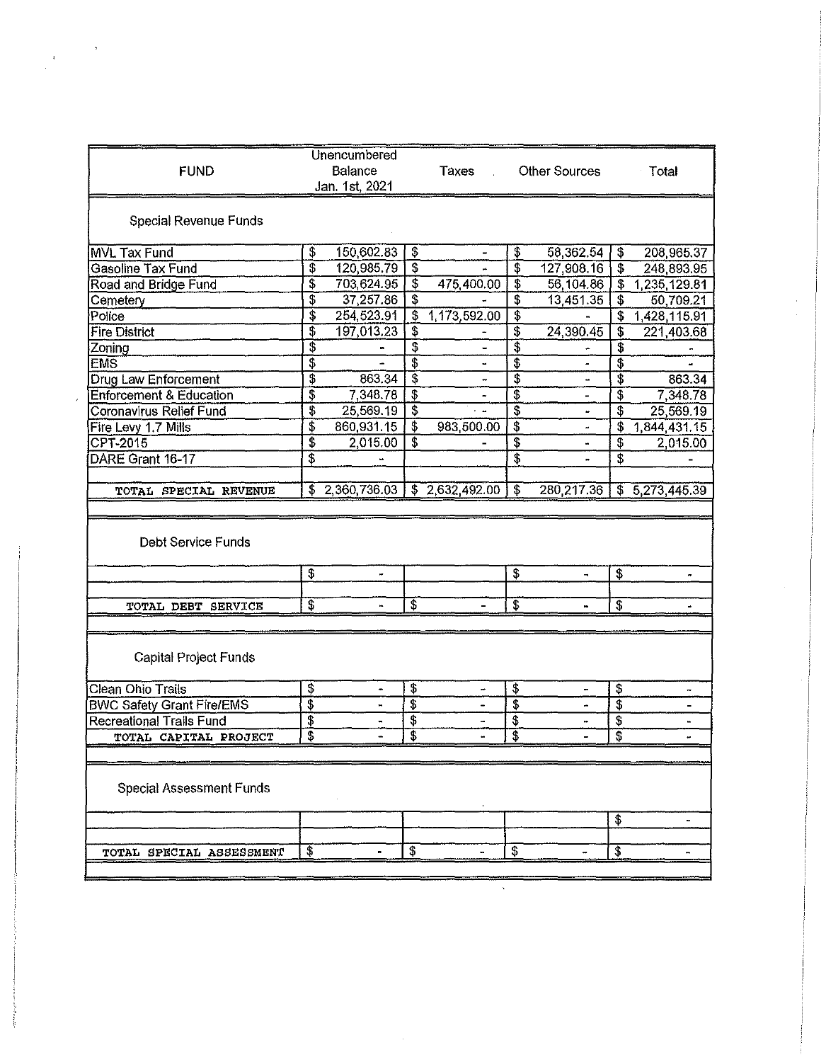| <b>FUND</b>                                       |               | <b>Unencumbered</b><br>Balance<br>Jan. 1st, 2021 |                           | Taxes                       |                           | <b>Other Sources</b>     |                           | - Total      |
|---------------------------------------------------|---------------|--------------------------------------------------|---------------------------|-----------------------------|---------------------------|--------------------------|---------------------------|--------------|
| Special Revenue Funds                             |               |                                                  |                           |                             |                           |                          |                           |              |
| MVL Tax Fund                                      | \$            | 150,602.83                                       | \$                        | ۰                           | \$                        | 58,362.54                | \$                        | 208,965.37   |
| Gasoline Tax Fund                                 | \$            | 120,985.79                                       | $\overline{\$}$           |                             | \$                        | 127,908.16               | \$                        | 248,893.95   |
| Road and Bridge Fund                              | \$            | 703,624.95                                       | $\overline{\mathbf{3}}$   | 475,400.00                  | \$                        | 56,104.86                | \$                        | 1,235,129.81 |
| Cemetery                                          | \$            | 37,257.86                                        | \$                        |                             | \$                        | 13,451.35                | \$                        | 50,709.21    |
| Police                                            | \$            | 254.523.91                                       | \$                        | 1,173,592.00                | $\overline{\mathbb{S}}$   |                          | \$                        | 1,428,115.91 |
| <b>Fire District</b>                              | \$            | 197,013.23                                       | \$                        |                             | \$                        | 24,390.45                | \$                        | 221,403.68   |
| Zoning                                            | \$            |                                                  | \$                        |                             | \$                        |                          | \$                        |              |
| <b>EMS</b>                                        | \$            |                                                  | $\overline{\$}$           |                             | \$                        |                          | $\overline{\$}$           |              |
| Drug Law Enforcement                              | \$            | 863.34                                           | \$                        | $\ddot{ }$                  | s                         | 4                        |                           | 863.34       |
| <b>Enforcement &amp; Education</b>                | \$            | 7 348 78                                         | $\overline{\$}$           |                             | Ŧ                         |                          | \$                        | 7 348.78     |
| Coronavirus Relief Fund                           | \$            | 25,569.19                                        | $\overline{\$}$           |                             | 3                         | ٠                        | $\overline{\mathbf{3}}$   | 25,569.19    |
| Fire Levy 1.7 Mills                               | \$            | 860,931.15                                       | $\overline{\mathfrak{s}}$ | 983,500.00                  | $\overline{\mathbf{3}}$   | 4                        | \$                        | 1,844,431.15 |
| CPT-2015                                          | \$            | 2.015.00                                         | \$                        |                             | \$                        |                          | \$                        | 2,015.00     |
| DARE Grant 16-17                                  | \$            |                                                  |                           |                             | T                         | i.                       | $\overline{\mathfrak{s}}$ |              |
| TOTAL SPECIAL REVENUE                             |               | \$2,360,736.03                                   |                           | $\overline{3}$ 2,632,492.00 | \$                        | 280,217.36               | \$                        | 5,273,445.39 |
| Debt Service Funds                                | $\ddot{\Phi}$ | w.                                               |                           |                             | \$                        | $\overline{\phantom{a}}$ | \$                        |              |
| TOTAL DEBT SERVICE                                | \$            |                                                  | \$                        |                             | $\overline{\mathcal{E}}$  |                          | \$                        |              |
| <b>Capital Project Funds</b><br>Clean Ohio Trails | \$            | $\bullet$                                        | \$                        |                             | $\overline{\mathbf{3}}$   |                          | $\ddot{\bm{v}}$           |              |
| <b>BWC Safety Grant Fire/EMS</b>                  | 3             |                                                  | \$                        |                             | $\overline{\mathfrak{s}}$ |                          | \$                        |              |
| <b>Recreational Trails Fund</b>                   | \$<br>\$      |                                                  | \$                        |                             | $\overline{\$}$<br>\$     |                          | \$                        | u,           |
| <b>TOTAL CAPITAL PROJECT</b>                      |               |                                                  | Ţ.                        |                             |                           |                          | ţ,                        |              |
| Special Assessment Funds                          |               |                                                  |                           |                             |                           |                          | \$                        | ä.           |
| TOTAL SPECIAL ASSESSMENT                          | \$            |                                                  | \$                        |                             | \$                        |                          | \$                        |              |
|                                                   |               |                                                  |                           |                             |                           |                          |                           |              |